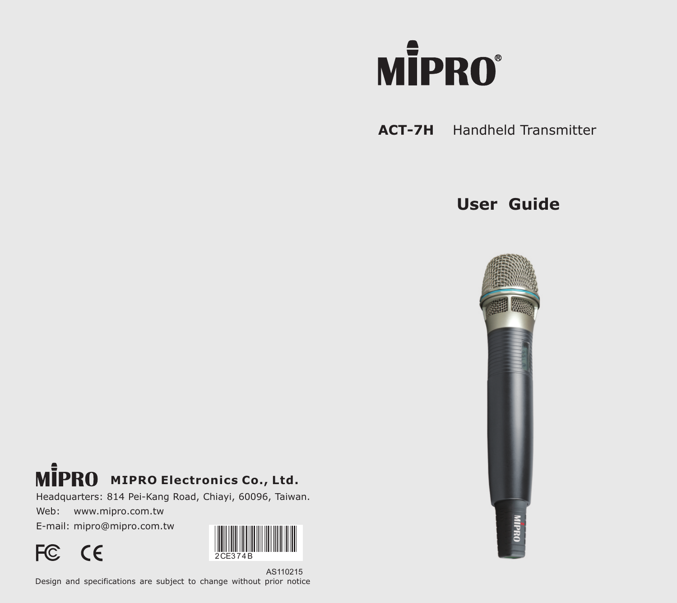

# **ACT-7H** Handheld Transmitter

# **User Guide**



# **MIPRO Electronics Co., Ltd.**

Headquarters: 814 Pei-Kang Road, Chiayi, 60096, Taiwan.

Web: www.mipro.com.tw

E-mail: mipro@mipro.com.tw



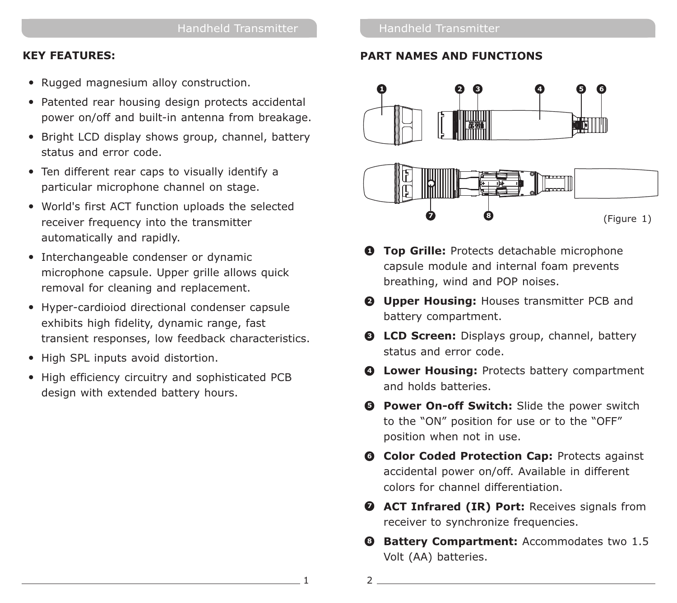#### **KEY FEATURES:**

- Rugged magnesium alloy construction.
- Patented rear housing design protects accidental power on/off and built-in antenna from breakage.
- Bright LCD display shows group, channel, battery status and error code.
- Ten different rear caps to visually identify a particular microphone channel on stage.
- World's first ACT function uploads the selected receiver frequency into the transmitter automatically and rapidly.
- Interchangeable condenser or dynamic microphone capsule. Upper grille allows quick removal for cleaning and replacement.
- Hyper-cardioiod directional condenser capsule exhibits high fidelity, dynamic range, fast transient responses, low feedback characteristics.
- High SPL inputs avoid distortion.
- High efficiency circuitry and sophisticated PCB design with extended battery hours.

#### Handheld Transmitter

#### **PART NAMES AND FUNCTIONS**



- **Top Grille:** Protects detachable microphone **1** capsule module and internal foam prevents breathing, wind and POP noises.
- **Upper Housing:** Houses transmitter PCB and **2** battery compartment.
- **CD Screen:** Displays group, channel, battery **L 3** status and error code.
- **Lower Housing:** Protects battery compartment **4** and holds batteries.
- **D** Power On-off Switch: Slide the power switch to the "ON" position for use or to the "OFF" position when not in use.
- **Color Coded Protection Cap:** Protects against **6** accidental power on/off. Available in different colors for channel differentiation.
- **D** ACT Infrared (IR) Port: Receives signals from receiver to synchronize frequencies.
- **Battery Compartment:** Accommodates two 1.5 **8** Volt (AA) batteries.

 $\overline{2}$ 

1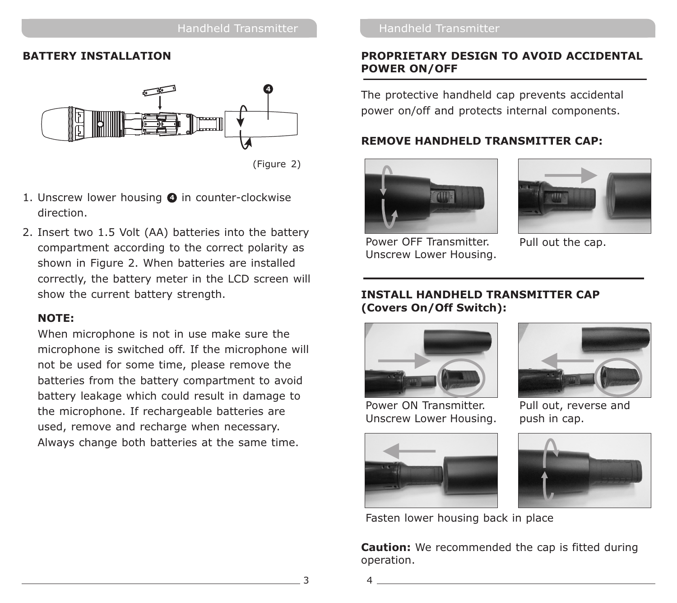#### **BATTERY INSTALLATION**



<sup>(</sup>Figure 2)

- 1. Unscrew lower housing **O** in counter-clockwise direction.
- 2. Insert two 1.5 Volt (AA) batteries into the battery compartment according to the correct polarity as shown in Figure 2. When batteries are installed correctly, the battery meter in the LCD screen will show the current battery strength.

#### **NOTE:**

When microphone is not in use make sure the microphone is switched off. If the microphone will not be used for some time, please remove the batteries from the battery compartment to avoid battery leakage which could result in damage to the microphone. If rechargeable batteries are used, remove and recharge when necessary. Always change both batteries at the same time.

#### **PROPRIETARY DESIGN TO AVOID ACCIDENTAL POWER ON/OFF**

The protective handheld cap prevents accidental power on/off and protects internal components.

#### **REMOVE HANDHELD TRANSMITTER CAP:**



Power OFF Transmitter. Unscrew Lower Housing.



Pull out the cap.

#### **INSTALL HANDHELD TRANSMITTER CAP (Covers On/Off Switch):**



Power ON Transmitter. Unscrew Lower Housing.



Pull out, reverse and push in cap.





Fasten lower housing back in place

**Caution:** We recommended the cap is fitted during operation.

3 4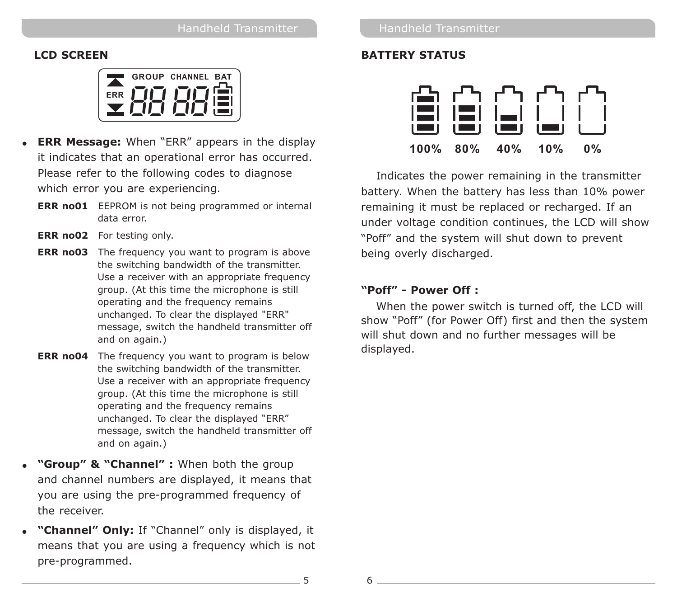### **LCD SCREEN**

|     | <b>GROUP CHANNEL BAT</b> |  |
|-----|--------------------------|--|
| FRR |                          |  |
|     |                          |  |

- ! **ERR Message:** When "ERR" appears in the display it indicates that an operational error has occurred. Please refer to the following codes to diagnose which error you are experiencing.
	- **ERR no01 EEPROM** is not being programmed or internal data error.
	- **ERR no02** For testing only.
	- **ERR no03** The frequency you want to program is above the switching bandwidth of the transmitter. Use a receiver with an appropriate frequency group. (At this time the microphone is still operating and the frequency remains unchanged. To clear the displayed "ERR" message, switch the handheld transmitter off and on again.)
	- **ERR no04** The frequency you want to program is below the switching bandwidth of the transmitter. Use a receiver with an appropriate frequency group. (At this time the microphone is still operating and the frequency remains unchanged. To clear the displayed "ERR" message, switch the handheld transmitter off and on again.)
- ! **"Group" & "Channel" :** When both the group and channel numbers are displayed, it means that you are using the pre-programmed frequency of the receiver.
- ! **"Channel" Only:** If "Channel" only is displayed, it means that you are using a frequency which is not pre-programmed.

### **BATTERY STATUS**



Indicates the power remaining in the transmitter battery. When the battery has less than 10% power remaining it must be replaced or recharged. If an under voltage condition continues, the LCD will show "Poff" and the system will shut down to prevent being overly discharged.

### **"Poff" - Power Off :**

When the power switch is turned off, the LCD will show "Poff" (for Power Off) first and then the system will shut down and no further messages will be displayed.

5 6